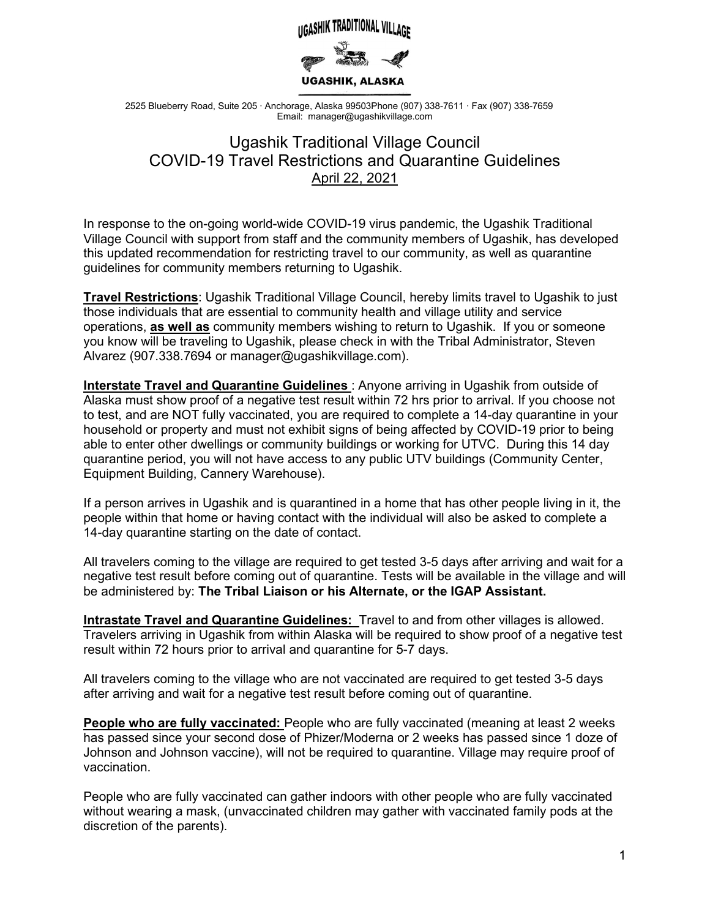

2525 Blueberry Road, Suite 205 ∙ Anchorage, Alaska 99503Phone (907) 338-7611 ∙ Fax (907) 338-7659 Email: manager@ugashikvillage.com

## Ugashik Traditional Village Council COVID-19 Travel Restrictions and Quarantine Guidelines April 22, 2021

In response to the on-going world-wide COVID-19 virus pandemic, the Ugashik Traditional Village Council with support from staff and the community members of Ugashik, has developed this updated recommendation for restricting travel to our community, as well as quarantine guidelines for community members returning to Ugashik.

**Travel Restrictions**: Ugashik Traditional Village Council, hereby limits travel to Ugashik to just those individuals that are essential to community health and village utility and service operations, **as well as** community members wishing to return to Ugashik. If you or someone you know will be traveling to Ugashik, please check in with the Tribal Administrator, Steven Alvarez (907.338.7694 or manager@ugashikvillage.com).

**Interstate Travel and Quarantine Guidelines**: Anyone arriving in Ugashik from outside of Alaska must show proof of a negative test result within 72 hrs prior to arrival. If you choose not to test, and are NOT fully vaccinated, you are required to complete a 14-day quarantine in your household or property and must not exhibit signs of being affected by COVID-19 prior to being able to enter other dwellings or community buildings or working for UTVC.During this 14 day quarantine period, you will not have access to any public UTV buildings (Community Center, Equipment Building, Cannery Warehouse).

If a person arrives in Ugashik and is quarantined in a home that has other people living in it, the people within that home or having contact with the individual will also be asked to complete a 14-day quarantine starting on the date of contact.

All travelers coming to the village are required to get tested 3-5 days after arriving and wait for a negative test result before coming out of quarantine. Tests will be available in the village and will be administered by: **The Tribal Liaison or his Alternate, or the IGAP Assistant.**

**Intrastate Travel and Quarantine Guidelines:** Travel to and from other villages is allowed. Travelers arriving in Ugashik from within Alaska will be required to show proof of a negative test result within 72 hours prior to arrival and quarantine for 5-7 days.

All travelers coming to the village who are not vaccinated are required to get tested 3-5 days after arriving and wait for a negative test result before coming out of quarantine.

**People who are fully vaccinated:** People who are fully vaccinated (meaning at least 2 weeks has passed since your second dose of Phizer/Moderna or 2 weeks has passed since 1 doze of Johnson and Johnson vaccine), will not be required to quarantine. Village may require proof of vaccination.

People who are fully vaccinated can gather indoors with other people who are fully vaccinated without wearing a mask, (unvaccinated children may gather with vaccinated family pods at the discretion of the parents).